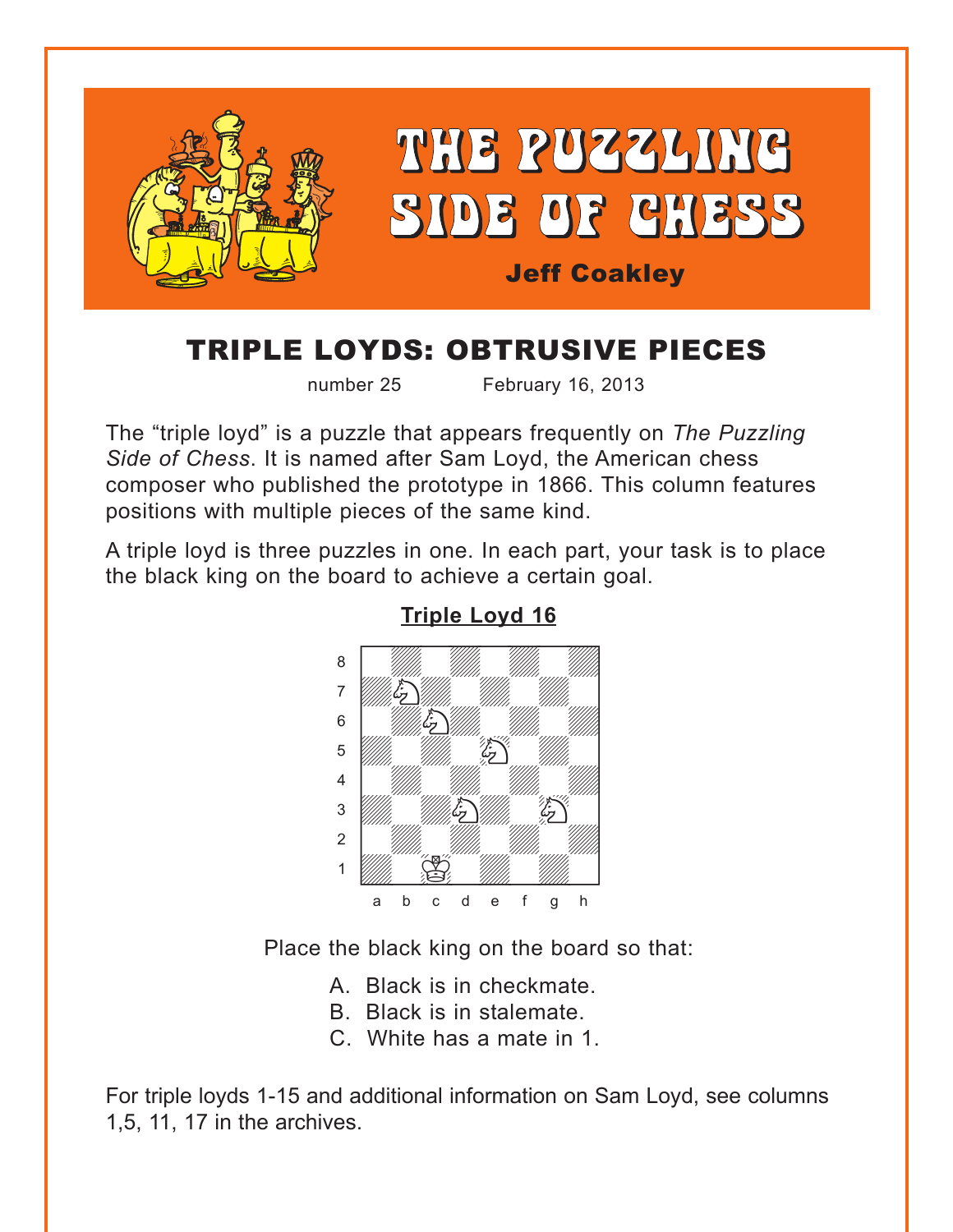<span id="page-0-0"></span>

## TRIPLE LOYDS: OBTRUSIVE PIECES

number 25 February 16, 2013

The "triple loyd" is a puzzle that appears frequently on *The Puzzling Side of Chess*. It is named after Sam Loyd, the American chess composer who published the prototype in 1866. This column features positions with multiple pieces of the same kind.

A triple loyd is three puzzles in one. In each part, your task is to place the black king on the board to achieve a certain goal.



**[Triple Loyd 16](#page-4-0)**

Place the black king on the board so that:

A. Black is in checkmate.

- B. Black is in stalemate.
- C. White has a mate in 1.

For triple loyds 1-15 and additional information on Sam Loyd, see columns 1,5, 11, 17 in the archives.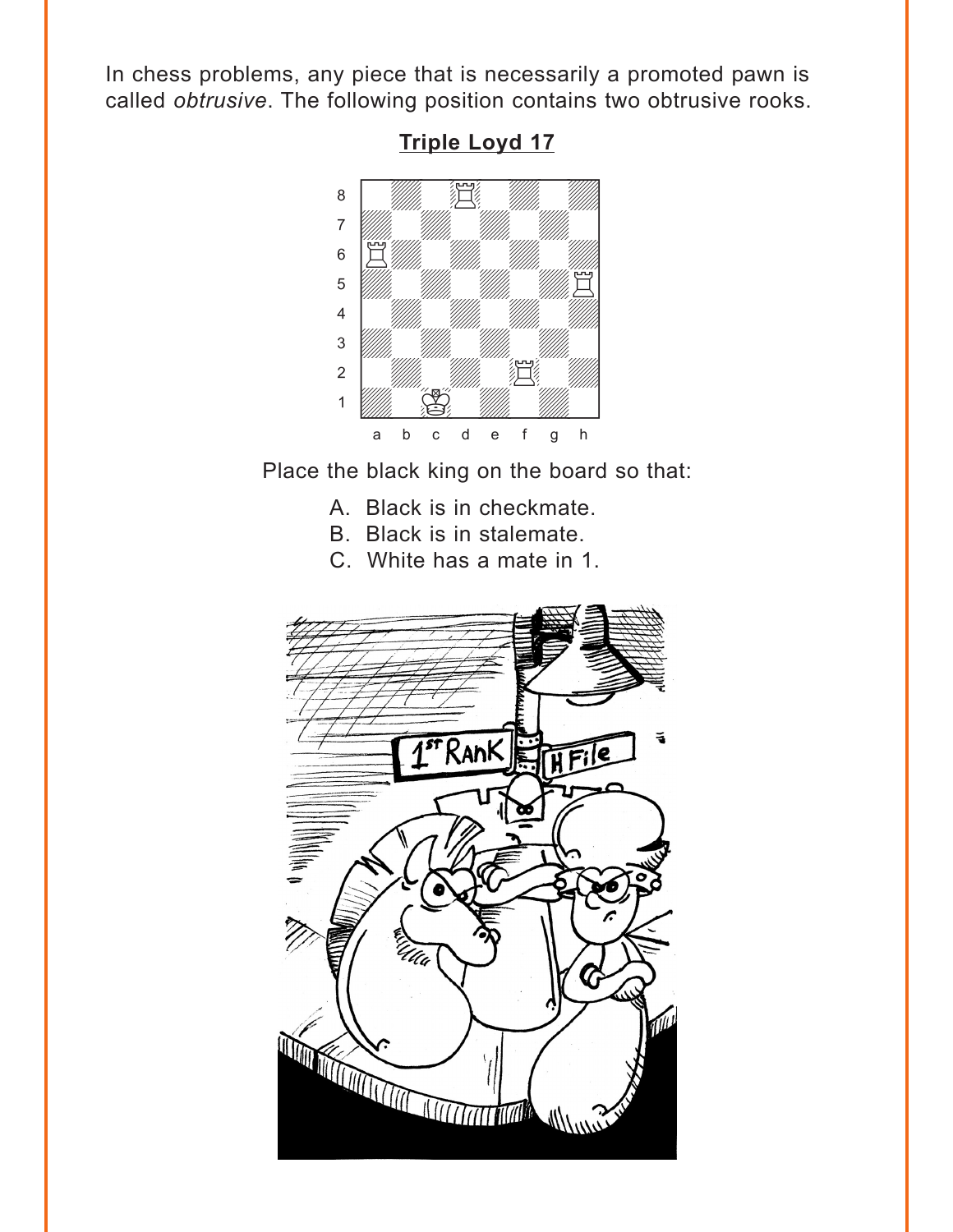<span id="page-1-0"></span>In chess problems, any piece that is necessarily a promoted pawn is called obtrusive. The following position contains two obtrusive rooks.



**Triple Loyd 17** 

Place the black king on the board so that:

- A. Black is in checkmate.
- B. Black is in stalemate.
- C. White has a mate in 1.

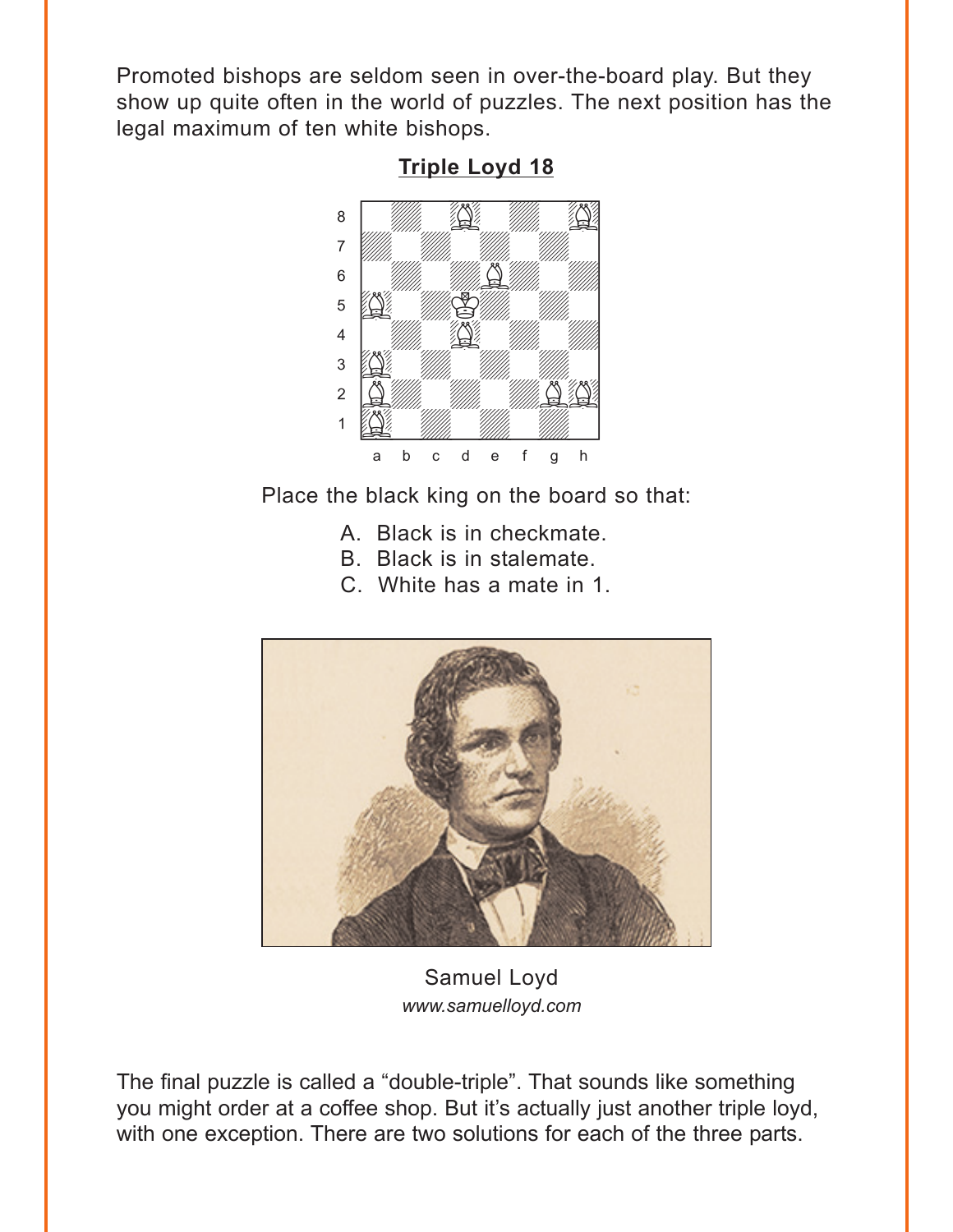<span id="page-2-0"></span>Promoted bishops are seldom seen in over-the-board play. But they show up quite often in the world of puzzles. The next position has the legal maximum of ten white bishops.



**[Triple Loyd 18](#page-5-0)**

Place the black king on the board so that:

- A. Black is in checkmate.
- B. Black is in stalemate.
- C. White has a mate in 1.



Samuel Loyd *www.samuelloyd.com*

The final puzzle is called a "double-triple". That sounds like something you might order at a coffee shop. But it's actually just another triple loyd, with one exception. There are two solutions for each of the three parts.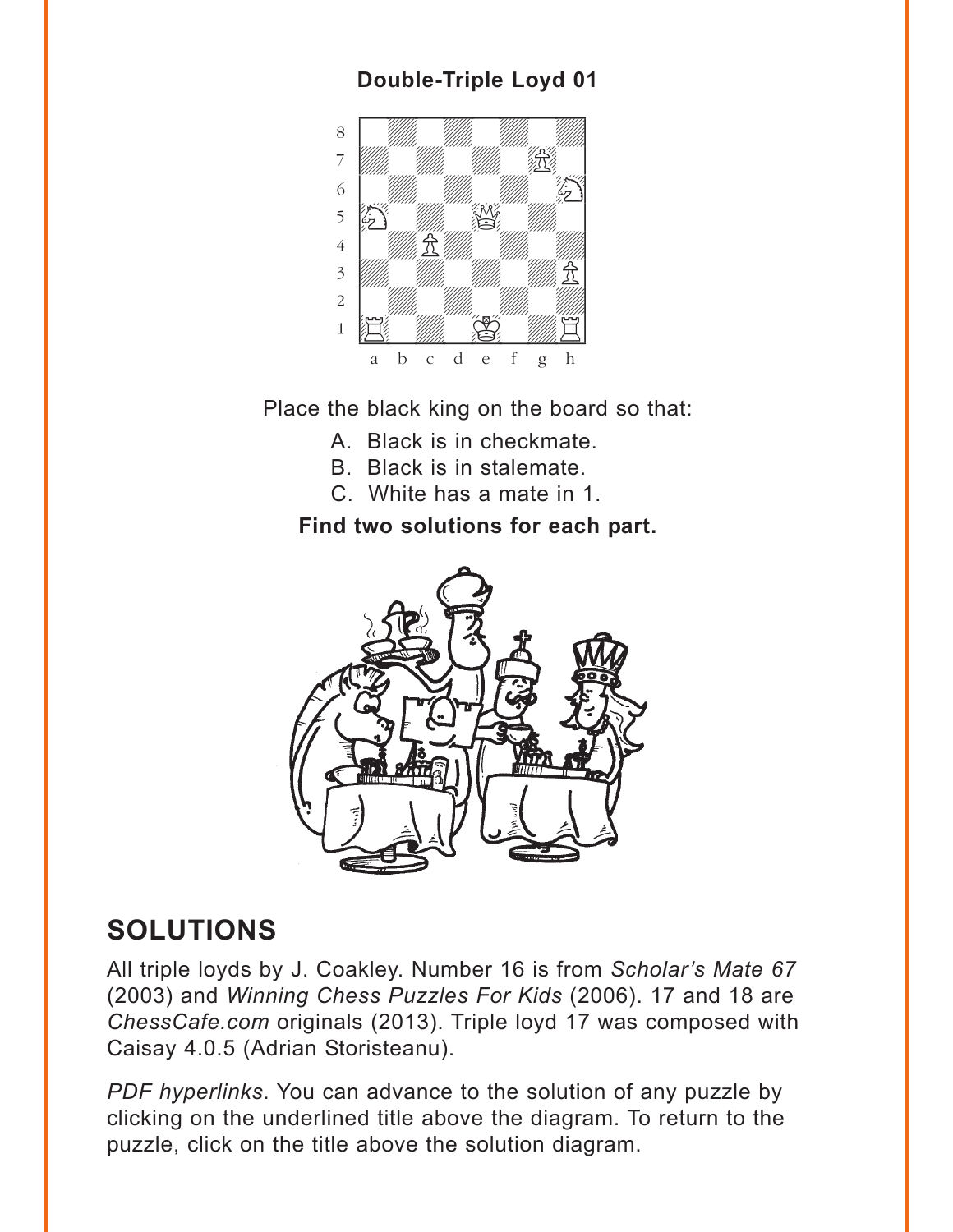### **[Double-Triple Loyd 01](#page-5-0)**

<span id="page-3-0"></span>

Place the black king on the board so that:

- A. Black is in checkmate.
- B. Black is in stalemate.
- C. White has a mate in 1.

### **Find two solutions for each part.**



# **SOLUTIONS**

All triple loyds by J. Coakley. Number 16 is from *Scholar's Mate 67* (2003) and *Winning Chess Puzzles For Kids* (2006). 17 and 18 are *ChessCafe.com* originals (2013). Triple loyd 17 was composed with Caisay 4.0.5 (Adrian Storisteanu).

*PDF hyperlinks*. You can advance to the solution of any puzzle by clicking on the underlined title above the diagram. To return to the puzzle, click on the title above the solution diagram.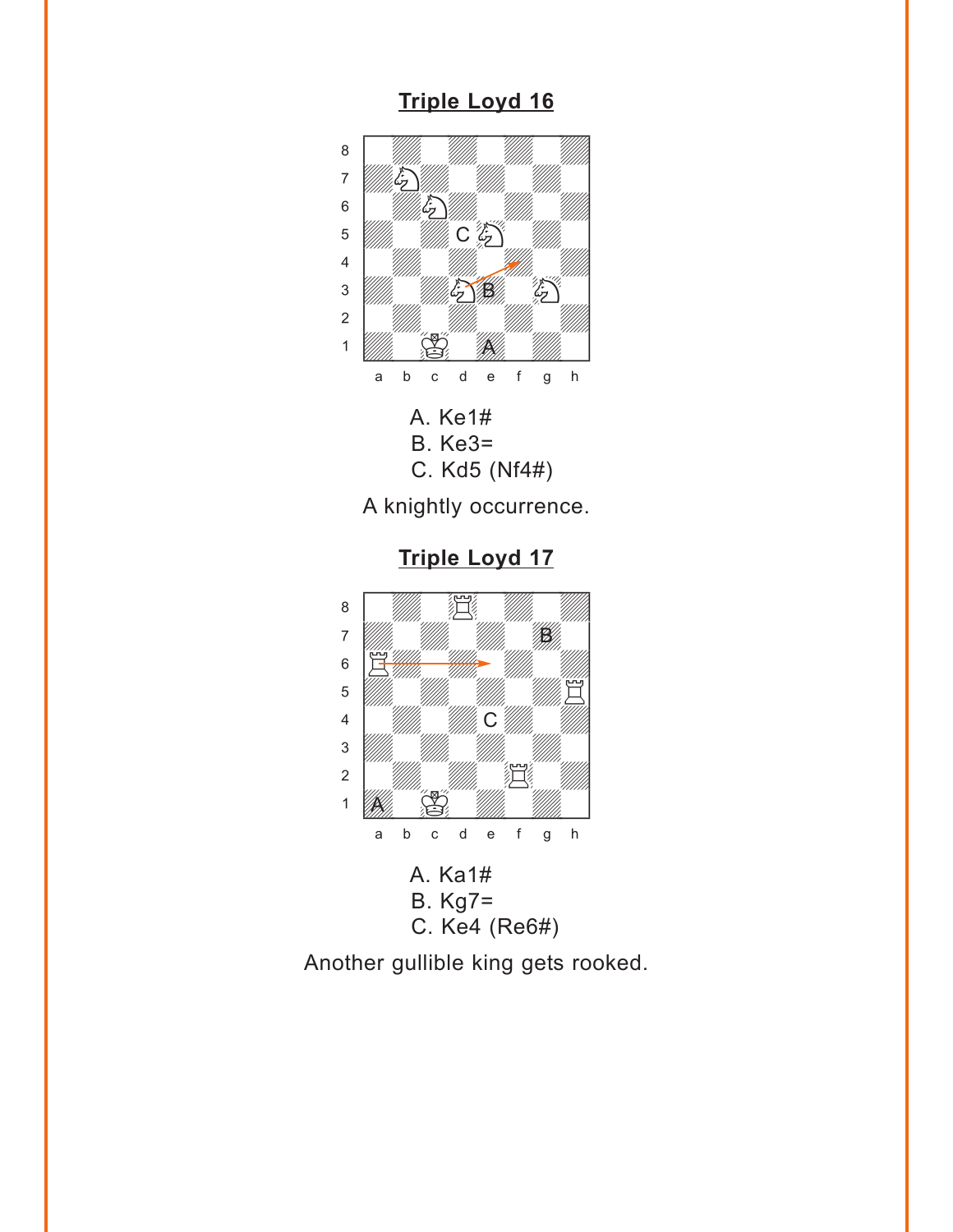#### **[Triple Loyd 16](#page-0-0)**

<span id="page-4-0"></span>

A knightly occurrence.

**[Triple Loyd 17](#page-1-0)**



Another gullible king gets rooked.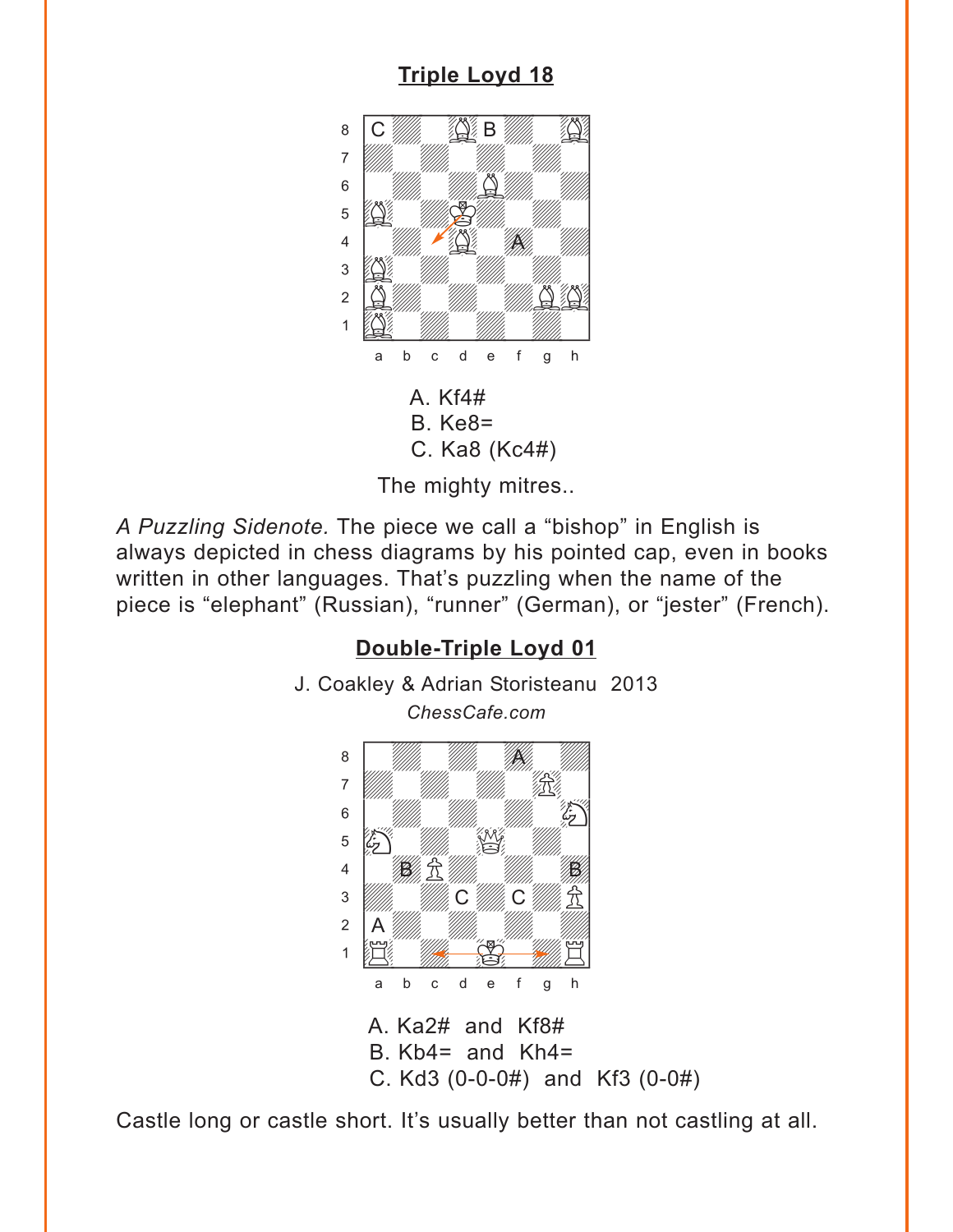### **Triple Loyd 18**

<span id="page-5-0"></span>

The mighty mitres..

A Puzzling Sidenote. The piece we call a "bishop" in English is always depicted in chess diagrams by his pointed cap, even in books written in other languages. That's puzzling when the name of the piece is "elephant" (Russian), "runner" (German), or "jester" (French).

### Double-Triple Loyd 01



Castle long or castle short. It's usually better than not castling at all.